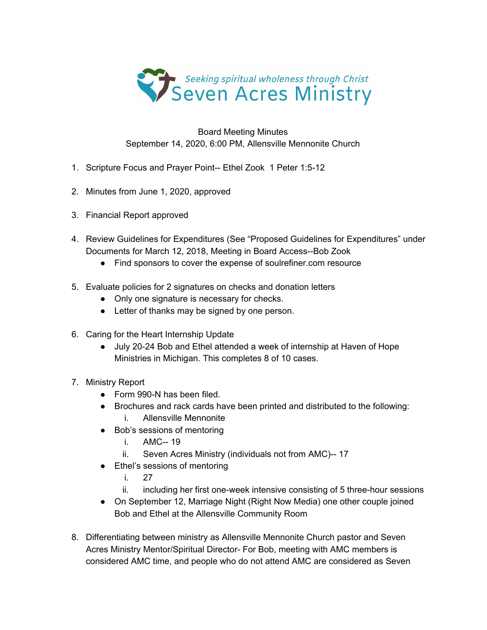

Board Meeting Minutes September 14, 2020, 6:00 PM, Allensville Mennonite Church

- 1. Scripture Focus and Prayer Point-- Ethel Zook 1 Peter 1:5-12
- 2. Minutes from June 1, 2020, approved
- 3. Financial Report approved
- 4. Review Guidelines for Expenditures (See "Proposed Guidelines for Expenditures" under Documents for March 12, 2018, Meeting in Board Access--Bob Zook
	- Find sponsors to cover the expense of soulrefiner.com resource
- 5. Evaluate policies for 2 signatures on checks and donation letters
	- Only one signature is necessary for checks.
	- Letter of thanks may be signed by one person.
- 6. Caring for the Heart Internship Update
	- July 20-24 Bob and Ethel attended a week of internship at Haven of Hope Ministries in Michigan. This completes 8 of 10 cases.
- 7. Ministry Report
	- Form 990-N has been filed.
	- Brochures and rack cards have been printed and distributed to the following: i. Allensville Mennonite
	- Bob's sessions of mentoring
		- i. AMC-- 19
		- ii. Seven Acres Ministry (individuals not from AMC)-- 17
	- Ethel's sessions of mentoring
		- i. 27
		- ii. including her first one-week intensive consisting of 5 three-hour sessions
	- On September 12, Marriage Night (Right Now Media) one other couple joined Bob and Ethel at the Allensville Community Room
- 8. Differentiating between ministry as Allensville Mennonite Church pastor and Seven Acres Ministry Mentor/Spiritual Director- For Bob, meeting with AMC members is considered AMC time, and people who do not attend AMC are considered as Seven